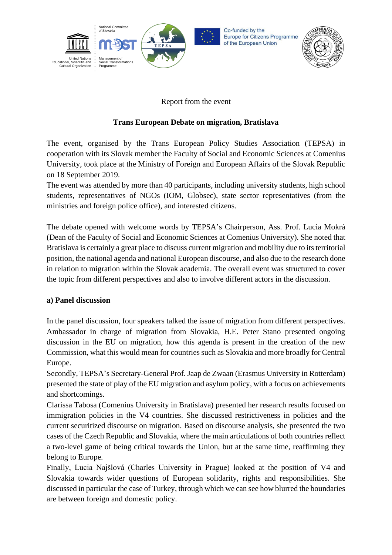

# Report from the event

# **Trans European Debate on migration, Bratislava**

The event, organised by the Trans European Policy Studies Association (TEPSA) in cooperation with its Slovak member the Faculty of Social and Economic Sciences at Comenius University, took place at the Ministry of Foreign and European Affairs of the Slovak Republic on 18 September 2019.

The event was attended by more than 40 participants, including university students, high school students, representatives of NGOs (IOM, Globsec), state sector representatives (from the ministries and foreign police office), and interested citizens.

The debate opened with welcome words by TEPSA's Chairperson, Ass. Prof. Lucia Mokrá (Dean of the Faculty of Social and Economic Sciences at Comenius University). She noted that Bratislava is certainly a great place to discuss current migration and mobility due to its territorial position, the national agenda and national European discourse, and also due to the research done in relation to migration within the Slovak academia. The overall event was structured to cover the topic from different perspectives and also to involve different actors in the discussion.

#### **a) Panel discussion**

In the panel discussion, four speakers talked the issue of migration from different perspectives. Ambassador in charge of migration from Slovakia, H.E. Peter Stano presented ongoing discussion in the EU on migration, how this agenda is present in the creation of the new Commission, what this would mean for countries such as Slovakia and more broadly for Central Europe.

Secondly, TEPSA's Secretary-General Prof. Jaap de Zwaan (Erasmus University in Rotterdam) presented the state of play of the EU migration and asylum policy, with a focus on achievements and shortcomings.

Clarissa Tabosa (Comenius University in Bratislava) presented her research results focused on immigration policies in the V4 countries. She discussed restrictiveness in policies and the current securitized discourse on migration. Based on discourse analysis, she presented the two cases of the Czech Republic and Slovakia, where the main articulations of both countries reflect a two-level game of being critical towards the Union, but at the same time, reaffirming they belong to Europe.

Finally, Lucia Najšlová (Charles University in Prague) looked at the position of V4 and Slovakia towards wider questions of European solidarity, rights and responsibilities. She discussed in particular the case of Turkey, through which we can see how blurred the boundaries are between foreign and domestic policy.